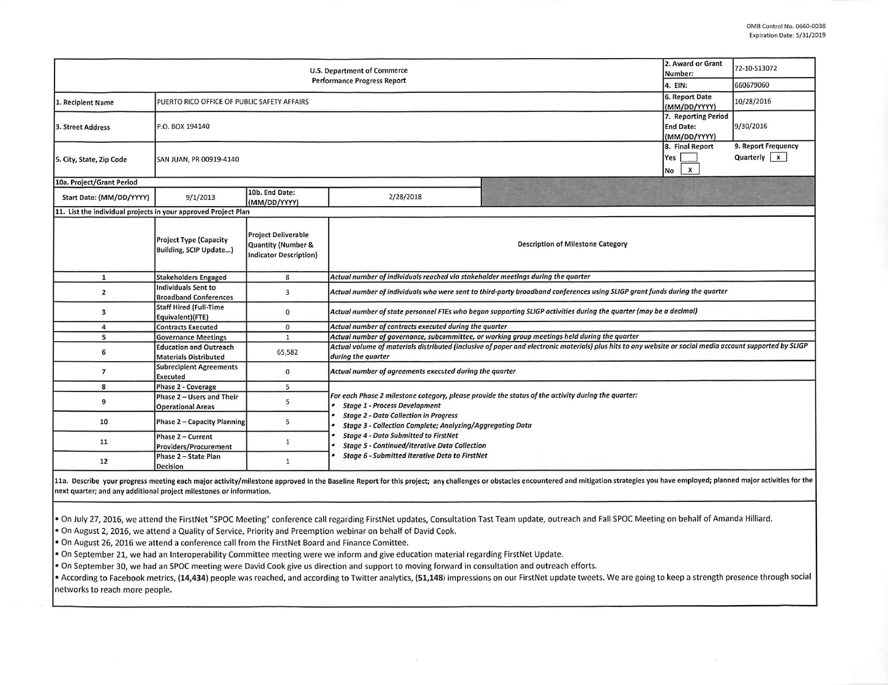| U.S. Department of Commerce<br><b>Performance Progress Report</b> |                                                               |                                                                                   |                                                                                                                                                                                                                                                         |                                      | 2. Award or Grant<br>Number:                            | 72-10-S13072 |  |  |  |
|-------------------------------------------------------------------|---------------------------------------------------------------|-----------------------------------------------------------------------------------|---------------------------------------------------------------------------------------------------------------------------------------------------------------------------------------------------------------------------------------------------------|--------------------------------------|---------------------------------------------------------|--------------|--|--|--|
|                                                                   |                                                               |                                                                                   |                                                                                                                                                                                                                                                         |                                      | 4. EIN:                                                 | 660679060    |  |  |  |
| 1. Recipient Name                                                 | PUERTO RICO OFFICE OF PUBLIC SAFETY AFFAIRS                   |                                                                                   |                                                                                                                                                                                                                                                         |                                      | 6. Report Date<br>(MM/DD/YYYY)                          | 10/28/2016   |  |  |  |
| 3. Street Address                                                 | P.O. BOX 194140                                               |                                                                                   |                                                                                                                                                                                                                                                         |                                      | 7. Reporting Period<br><b>End Date:</b><br>(MM/DD/YYYY) | 9/30/2016    |  |  |  |
| 5. City, State, Zip Code                                          | SAN JUAN, PR 00919-4140                                       |                                                                                   | 8. Final Report<br>Yes<br>$\boldsymbol{x}$<br>No                                                                                                                                                                                                        | 9. Report Frequency<br>Quarterly $x$ |                                                         |              |  |  |  |
| 10a. Project/Grant Period                                         |                                                               |                                                                                   |                                                                                                                                                                                                                                                         |                                      |                                                         |              |  |  |  |
| Start Date: (MM/DD/YYYY)                                          | 9/1/2013                                                      | 10b. End Date:<br>(MM/DD/YYYY)                                                    | 2/28/2018                                                                                                                                                                                                                                               |                                      |                                                         |              |  |  |  |
| 11. List the individual projects in your approved Project Plan    |                                                               |                                                                                   |                                                                                                                                                                                                                                                         |                                      |                                                         |              |  |  |  |
|                                                                   | <b>Project Type (Capacity</b><br>Building, SCIP Update)       | <b>Project Deliverable</b><br>Quantity (Number &<br><b>Indicator Description)</b> | <b>Description of Milestone Category</b>                                                                                                                                                                                                                |                                      |                                                         |              |  |  |  |
| $\mathbf{1}$                                                      | <b>Stakeholders Engaged</b>                                   | 8                                                                                 | Actual number of individuals reached via stakeholder meetings during the quarter                                                                                                                                                                        |                                      |                                                         |              |  |  |  |
| $\overline{2}$                                                    | Individuals Sent to<br><b>Broadband Conferences</b>           | 3                                                                                 | Actual number of individuals who were sent to third-party broadband conferences using SLIGP grant funds during the quarter                                                                                                                              |                                      |                                                         |              |  |  |  |
| 3                                                                 | <b>Staff Hired (Full-Time</b><br>Equivalent)(FTE)             | 0                                                                                 | Actual number of state personnel FTEs who began supporting SLIGP activities during the quarter (may be a decimal)                                                                                                                                       |                                      |                                                         |              |  |  |  |
| 4                                                                 | <b>Contracts Executed</b>                                     | $\mathbf 0$                                                                       | Actual number of contracts executed during the quarter                                                                                                                                                                                                  |                                      |                                                         |              |  |  |  |
| 5                                                                 | <b>Governance Meetings</b>                                    | 1                                                                                 | Actual number of governance, subcommittee, or working group meetings held during the quarter                                                                                                                                                            |                                      |                                                         |              |  |  |  |
| 6                                                                 | <b>Education and Outreach</b><br><b>Materials Distributed</b> | 65,582                                                                            | Actual volume of materials distributed (inclusive of paper and electronic materials) plus hits to any website or social media account supported by SLIGP<br>during the quarter                                                                          |                                      |                                                         |              |  |  |  |
| $\overline{7}$                                                    | <b>Subrecipient Agreements</b><br><b>Executed</b>             | 0                                                                                 | Actual number of agreements executed during the quarter                                                                                                                                                                                                 |                                      |                                                         |              |  |  |  |
| 8                                                                 | Phase 2 - Coverage                                            | 5                                                                                 |                                                                                                                                                                                                                                                         |                                      |                                                         |              |  |  |  |
| 9                                                                 | Phase 2 - Users and Their<br><b>Operational Areas</b>         | 5                                                                                 | For each Phase 2 milestone category, please provide the status of the activity during the quarter:<br><b>Stage 1 - Process Development</b><br><b>Stage 2 - Data Collection in Progress</b><br>Stage 3 - Collection Complete; Analyzing/Aggregating Data |                                      |                                                         |              |  |  |  |
| 10                                                                | Phase 2 - Capacity Planning                                   | 5                                                                                 |                                                                                                                                                                                                                                                         |                                      |                                                         |              |  |  |  |
| 11                                                                | Phase 2 - Current<br>Providers/Procurement                    | 1                                                                                 | <b>Stage 4 - Data Submitted to FirstNet</b><br><b>Stage 5 - Continued/Iterative Data Collection</b><br><b>Stage 6 - Submitted Iterative Data to FirstNet</b>                                                                                            |                                      |                                                         |              |  |  |  |
| 12                                                                | Phase 2 - State Plan<br>Decision                              | 1                                                                                 |                                                                                                                                                                                                                                                         |                                      |                                                         |              |  |  |  |

11a. Describe your progress meeting each major activity/milestone approved in the Baseline Report for this project; any challenges or obstacles encountered and mitigation strategies you have employed; planned major activit next quarter; and any additional project milestones or information.

. On July 27, 2016, we attend the FirstNet "SPOC Meeting" conference call regarding FirstNet updates, Consultation Tast Team update, outreach and Fall SPOC Meeting on behalf of Amanda Hilliard.

• On August 2,2016, we attend a Quality of Service, Priority and Preemption webinar on behalf of David Cook.

• On August 26, 2016 we attend a conference call from the FirstNet Board and Finance Comittee.

• On September 21, we had an Interoperability Committee meeting were we inform and give education material regarding FirstNet Update.

• On September 30, we had an SPOC meeting were David Cook give us direction and support to moving forward in consultation and outreach efforts.

• According to Facebook metrics, (14,434) people was reached, and according to Twitter analytics, (51,148) impressions on our FirstNet update tweets. We are going to keep a strength presence through social networks to reach more people.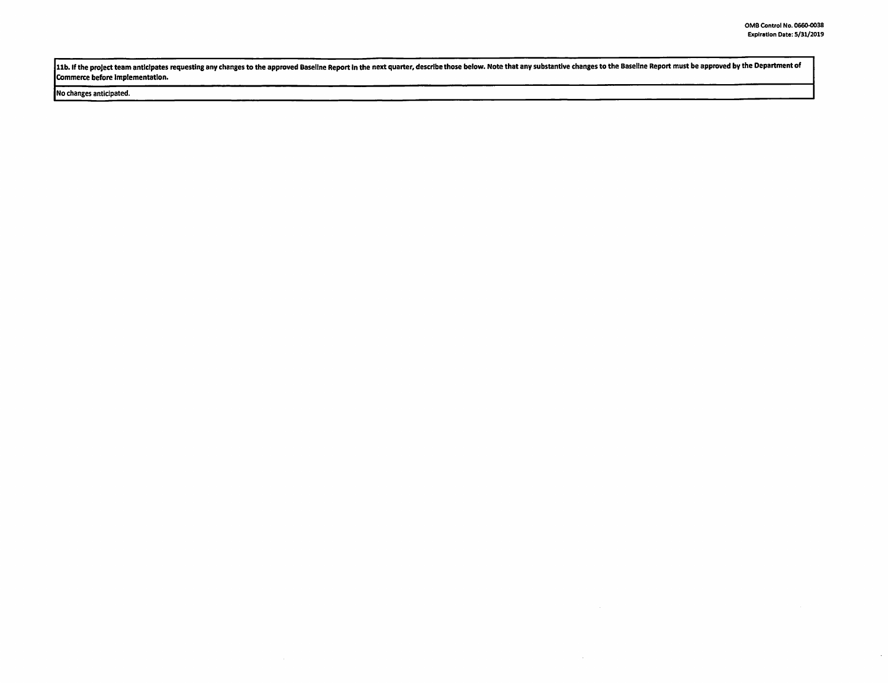$\mathcal{A}$ 

11b. If the project team anticipates requesting any changes to the approved Baseline Report in the next quarter, describe those below. Note that any substantive changes to the Baseline Report must be approved by the Depart commerce before implementation.

 $\sim$ 

## No changes anticipated.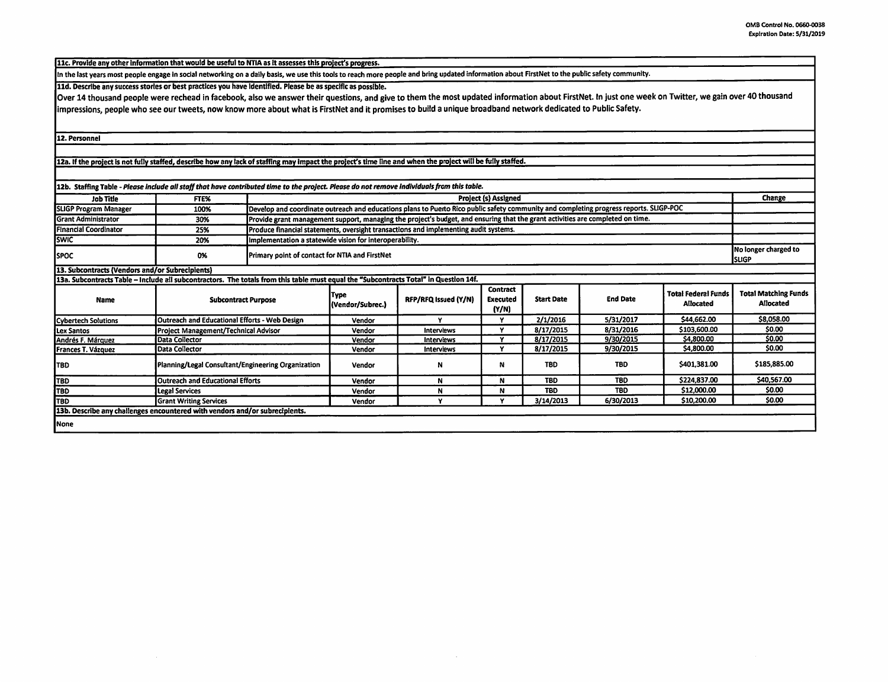11c. Provide any other information that would be useful to NTIA as it assesses this project's progress.

In the last years most people engage In social networking on a daily basis, we use this tools to reach more people and bring updated information about FirstNet to the public safety community.

lid. Describe any success stories or best practices you have Identified. Please be as specific as possible.

Over 14 thousand people were rechead in facebook, also we answer their questions, and give to them the most updated information about FirstNet. In just one week on Twitter, we gain over 40 thousand impressions, people who see our tweets, now know more about what is FirstNet and it promises to build a unique broadband network dedicated to Public Safety.

12. Personnel

12a. If the project is not fully staffed, describe how any lack of staffing may Impact the project's time line and when the project will be fully staffed.

| 12b. Staffing Table - Please include all staff that have contributed time to the project. Please do not remove individuals from this table. |                                                    |                                                                                      |                                                                                                                                        |                      |                                             |                   |                 |                                                |                                                 |
|---------------------------------------------------------------------------------------------------------------------------------------------|----------------------------------------------------|--------------------------------------------------------------------------------------|----------------------------------------------------------------------------------------------------------------------------------------|----------------------|---------------------------------------------|-------------------|-----------------|------------------------------------------------|-------------------------------------------------|
| <b>Job Title</b>                                                                                                                            | FTE%                                               |                                                                                      | <b>Project (s) Assigned</b>                                                                                                            |                      |                                             |                   |                 |                                                |                                                 |
| <b>SLIGP Program Manager</b>                                                                                                                | 100%                                               |                                                                                      | Develop and coordinate outreach and educations plans to Puerto Rico public safety community and completing progress reports. SLIGP-POC |                      |                                             |                   |                 |                                                |                                                 |
| <b>Grant Administrator</b>                                                                                                                  | 30%                                                |                                                                                      | Provide grant management support, managing the project's budget, and ensuring that the grant activities are completed on time.         |                      |                                             |                   |                 |                                                |                                                 |
| <b>Financial Coordinator</b>                                                                                                                | 25%                                                | Produce financial statements, oversight transactions and implementing audit systems. |                                                                                                                                        |                      |                                             |                   |                 |                                                |                                                 |
| <b>SWIC</b>                                                                                                                                 | 20%                                                | Implementation a statewide vision for interoperability.                              |                                                                                                                                        |                      |                                             |                   |                 |                                                |                                                 |
| <b>SPOC</b>                                                                                                                                 | 0%                                                 | Primary point of contact for NTIA and FirstNet                                       |                                                                                                                                        |                      |                                             |                   |                 |                                                | No longer charged to<br><b>ISLIGP</b>           |
| 13. Subcontracts (Vendors and/or Subrecipients)                                                                                             |                                                    |                                                                                      |                                                                                                                                        |                      |                                             |                   |                 |                                                |                                                 |
| 13a. Subcontracts Table - Include all subcontractors. The totals from this table must equal the "Subcontracts Total" in Question 14f.       |                                                    |                                                                                      |                                                                                                                                        |                      |                                             |                   |                 |                                                |                                                 |
| Name                                                                                                                                        | <b>Subcontract Purpose</b>                         |                                                                                      | Type<br>(Vendor/Subrec.)                                                                                                               | RFP/RFQ Issued (Y/N) | <b>Contract</b><br><b>Executed</b><br>(Y/N) | <b>Start Date</b> | <b>End Date</b> | <b>Total Federal Funds</b><br><b>Allocated</b> | <b>Total Matching Funds</b><br><b>Allocated</b> |
| Cybertech Solutions                                                                                                                         | Outreach and Educational Efforts - Web Design      |                                                                                      | Vendor                                                                                                                                 | $\bullet$            | v.                                          | 2/1/2016          | 5/31/2017       | \$44,662.00                                    | \$8,058.00                                      |
| Lex Santos                                                                                                                                  | Project Management/Technical Advisor               |                                                                                      | Vendor                                                                                                                                 | Interviews           | v                                           | 8/17/2015         | 8/31/2016       | \$103,600.00                                   | \$0.00                                          |
| Andrés F. Márquez                                                                                                                           | <b>Data Collector</b>                              |                                                                                      | Vendor                                                                                                                                 | Interviews           | v                                           | 8/17/2015         | 9/30/2015       | \$4,800.00                                     | \$0.00                                          |
| Frances T. Vázquez                                                                                                                          | Data Collector                                     |                                                                                      | Vendor                                                                                                                                 | <b>Interviews</b>    | v                                           | 8/17/2015         | 9/30/2015       | \$4,800.00                                     | \$0.00                                          |
| <b>TBD</b>                                                                                                                                  | Planning/Legal Consultant/Engineering Organization |                                                                                      | Vendor                                                                                                                                 | N                    | N                                           | <b>TBD</b>        | <b>TBD</b>      | \$401,381.00                                   | \$185,885.00                                    |
| TBD <sup>1</sup>                                                                                                                            | Outreach and Educational Efforts                   |                                                                                      | Vendor                                                                                                                                 | N                    | N                                           | <b>TBD</b>        | <b>TBD</b>      | \$224,837.00                                   | \$40,567.00                                     |
| <b>TBD</b>                                                                                                                                  | Legal Services                                     |                                                                                      | Vendor                                                                                                                                 | N                    | N                                           | <b>TBD</b>        | <b>TBD</b>      | \$12,000.00                                    | \$0.00                                          |
| TBD                                                                                                                                         | <b>Grant Writing Services</b>                      |                                                                                      | Vendor                                                                                                                                 |                      | $\check{}$                                  | 3/14/2013         | 6/30/2013       | \$10,200.00                                    | \$0.00                                          |
| 13b. Describe any challenges encountered with vendors and/or subrecipients.                                                                 |                                                    |                                                                                      |                                                                                                                                        |                      |                                             |                   |                 |                                                |                                                 |
| None                                                                                                                                        |                                                    |                                                                                      |                                                                                                                                        |                      |                                             |                   |                 |                                                |                                                 |